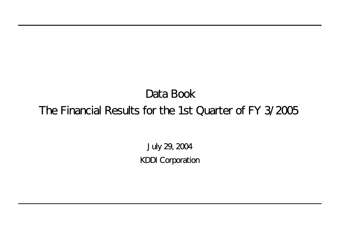July 29, 2004 KDDI Corporation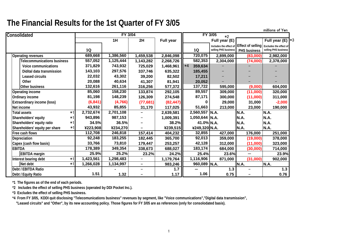|                                    |      |           |                |                          |           |           |         |                        |                          | millions of Yen        |       |
|------------------------------------|------|-----------|----------------|--------------------------|-----------|-----------|---------|------------------------|--------------------------|------------------------|-------|
| Consolidated                       |      |           | <b>FY 3/04</b> |                          |           |           |         | FY 3/05<br>$*2$        |                          |                        |       |
|                                    |      |           | 1H             | 2H                       | Full year |           |         | Full year (E)          |                          | Full year (E) $*3$     |       |
|                                    |      |           |                |                          |           |           |         | Includes the effect of | <b>Effect of selling</b> | Excludes the effect of |       |
|                                    |      | 1Q        |                |                          |           | 1Q        |         | selling PHS business   | PHS business             | selling PHS business   |       |
| <b>Operating revenues</b>          |      | 689,668   | 1,386,560      | 1,459,538                | 2,846,098 |           | 720,075 | 2,899,000              | (83,000)                 | 2,982,000              |       |
| <b>Telecommunications business</b> |      | 557,052   | 1,125,444      | 1,143,282                | 2,268,726 |           | 582,353 | 2,304,000              | (74,000)                 | 2,378,000              |       |
| Voice communications               |      | 371,829   | 743,932        | 725,029                  | 1,468,961 | $*4$      | 359,634 |                        |                          |                        |       |
| Didital data transmission          |      | 143,103   | 297,576        | 337,746                  | 635,322   |           | 185,455 |                        |                          |                        |       |
| <b>Leased circuits</b>             |      | 22,032    | 43,302         | 39,200                   | 82,502    |           | 17,211  |                        |                          |                        |       |
| Other                              |      | 20,088    | 40,634         | 41,307                   | 81,941    |           | 20,052  |                        |                          |                        |       |
| Other business                     |      | 132,616   | 261,116        | 316,256                  | 577,372   |           | 137,722 | 595,000                | (9,000)                  | 604,000                |       |
| <b>Operating income</b>            |      | 85,060    | 158,230        | 133,874                  | 292,105   |           | 89,557  | 309,000                | (11,000)                 | 320,000                |       |
| Ordinary income                    |      | 81,198    | 148,239        | 126,309                  | 274,548   |           | 87,171  | 300,000                | (11,000)                 | 311,000                |       |
| Extraordinary income (loss)        |      | (6, 841)  | (4,766)        | (77, 681)                | (82, 447) |           |         | 29,000                 | 31,000                   | $-2,000$               |       |
| Net income                         |      | 43,932    | 85,855         | 31,170                   | 117,025   |           | 51,663  | 213,000                | 23,000                   | 190,000                |       |
| <b>Total assets</b>                | $*1$ | 2,732,674 | 2,701,108      |                          | 2,639,581 | 2,560,557 |         | N.A.                   | N.A.                     | N.A.                   |       |
| Shareholders' equity               | $*1$ | 943,896   | 987,153        |                          | 1,009,391 |           |         | $1,050,644$ N.A.       | N.A.                     | <b>N.A.</b>            |       |
| Shareholders' equity ratio         | *1   | 34.5%     | 36.5%          |                          | 38.2%     |           |         | 41.0% N.A.             | N.A.                     | N.A.                   |       |
| Shareholders' equity per share     | $*1$ | ¥223,908  | ¥234,270       |                          | ¥239,515  |           |         | ¥249,320 N.A.          | N.A.                     | N.A.                   |       |
| Free cash flows                    |      | 112,708   | 246,818        | 157,414                  | 404,232   |           | 32,855  | 427,000                | 176,000                  | 251,000                |       |
| Depreciation                       |      | 92,248    | 183,255        | 182,445                  | 365,700   |           | 92,013  | 359,000                | (19,000)                 | 378,000                |       |
| Capex (cash flow basis)            |      | 33,766    | 73,810         | 179,447                  | 253,257   |           | 42,128  | 312,000                | (11,000)                 | 323,000                |       |
| <b>EBITDA</b>                      |      | 178,389   | 349,354        | 338,673                  | 688,027   |           | 183,174 | 684,000                | (30,000)                 | 714,000                |       |
| <b>EBITDA</b> margin               |      | 25.9%     | 25.2%          | 23.2%                    | 24.2%     |           | 25.4%   | 23.6%                  |                          |                        | 23.9% |
| Interest bearing debt              | $*1$ | 1,423,561 | 1,298,483      | $\overline{\phantom{m}}$ | 1,179,764 | 1,116,906 |         | 871,000                | (31,000)                 | 902,000                |       |
| Net debt                           | $*1$ | 1,266,028 | 1,134,997      | $\qquad \qquad -$        | 983,246   |           |         | 960,089 N.A.           | N.A.                     | N.A.                   |       |
| Debt / EBITDA Ratio                |      |           |                |                          | $1.7$     |           |         | $1.3$                  |                          |                        | $1.3$ |
| Debt / Equity Ratio                |      | 1.51      | 1.32           |                          | 1.17      |           | 1.06    | 0.75                   | —                        |                        | 0.76  |

**\*1 The figures as of the end of each periods.**

**\*2 Includes the effect of selling PHS business (operated by DDI Pocket Inc.).**

**\*3 Excludes the effect of selling PHS business.**

**\*4 From FY 3/05, KDDI quit disclosing "Telecomunications business" revenues by segment, like "Voice communications","Digital data transmission",**

 **"Leased circuits" and "Other", by its new accounting policy. Those figures for FY 3/05 are as references (only for consolodated basis).**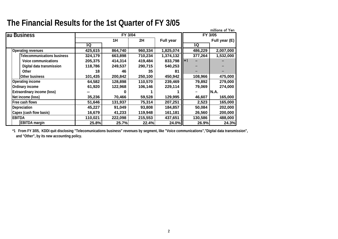|                                    |         |                |         |                  |         | millions of Yen |
|------------------------------------|---------|----------------|---------|------------------|---------|-----------------|
| au Business                        |         | <b>FY 3/04</b> |         |                  |         | FY 3/05         |
|                                    |         | 1H             | 2H      | <b>Full year</b> |         | Full year (E)   |
|                                    | 1Q      |                |         |                  | 1Q      |                 |
| Operating revenues                 | 425,615 | 864,740        | 960,334 | 1,825,074        | 486,229 | 2,007,000       |
| <b>Telecommunications business</b> | 324,179 | 663,898        | 710,234 | 1,374,132        | 377,264 | 1,532,000       |
| Voice communications               | 205,375 | 414,314        | 419,484 | 833,798          | $*1$    |                 |
| Digital data transmission          | 118,786 | 249,537        | 290,715 | 540,253          |         |                 |
| Other                              | 18      | 46             | 35      | 81               |         |                 |
| Other business                     | 101,435 | 200,842        | 250,100 | 450,942          | 108,966 | 475,000         |
| Operating income                   | 64,582  | 128,898        | 110,570 | 239,469          | 79,892  | 279,000         |
| Ordinary income                    | 61,920  | 122,968        | 106,146 | 229,114          | 79,069  | 274,000         |
| <b>Extraordinary income (loss)</b> |         |                |         |                  |         | N.A.            |
| Net income (loss)                  | 35,236  | 70,466         | 59,528  | 129,995          | 46,607  | 165,000         |
| Free cash flows                    | 51,646  | 131,937        | 75,314  | 207,251          | 2,523   | 165,000         |
| Depreciation                       | 45,227  | 91,049         | 93,808  | 184,857          | 50,084  | 202,000         |
| Capex (cash flow basis)            | 16,679  | 41,233         | 119,948 | 161,181          | 26,560  | 200,000         |
| <b>EBITDA</b>                      | 110,021 | 222,098        | 215,553 | 437,651          | 130,586 | 488,000         |
| <b>EBITDA</b> margin               | 25.8%   | 25.7%          | 22.4%   | 24.0%            | 26.9%   | 24.3%           |

**\*1 From FY 3/05, KDDI quit disclosing "Telecomunications business" revenues by segment, like "Voice communications","Digital data transmission", and "Other", by its new accounting policy.**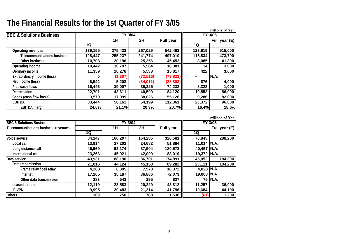|                                     |         |          |           |           |         | millions of Yen |
|-------------------------------------|---------|----------|-----------|-----------|---------|-----------------|
| <b>BBC &amp; Solutions Business</b> |         | FY 3/04  |           |           |         | FY 3/05         |
|                                     |         | 1H       | 2H        | Full year |         | Full year (E)   |
|                                     | 1Q      |          |           |           | 1Q      |                 |
| <b>Operating revenues</b>           | 139,155 | 275,433  | 267,029   | 542,462   | 123,919 | 515,000         |
| <b>Telecommunications business</b>  | 128,447 | 255,237  | 241,774   | 497,010   | 115,834 | 473,700         |
| <b>Other business</b>               | 10,708  | 20,196   | 25,256    | 45,452    | 8,085   | 41,300          |
| Operating income                    | 10,442  | 10,797   | 5,584     | 16,381    | 14      | 3,000           |
| Ordinary income                     | 11,359  | 10,278   | 5,538     | 15,817    | 422     | 3,000           |
| <b>Extraordinary income (loss)</b>  | 0       | (1, 307) | (72, 516) | (73, 823) |         | IN.A.           |
| Net income (loss)                   | 6,542   | 5,208    | (34,011)  | (28, 803) | 876     | 4,000           |
| Free cash flows                     | 16,446  | 39,007   | 35,225    | 74,232    | 8,328   | 1,000           |
| Depreciation                        | 22,701  | 43,611   | 40,509    | 84,120    | 19,853  | 86,000          |
| Capex (cash flow basis)             | 9,579   | 17,099   | 38,026    | 55,126    | 9,286   | 82,000          |
| <b>EBITDA</b>                       | 33,444  | 58,162   | 54,199    | 112,361   | 20,372  | 96,000          |
| <b>EBITDA</b> margin                | 24.0%   | 21.1%    | 20.3%     | 20.7%     | 16.4%   | 18.6%           |

|                                      |        |         |         |                  |                     | millions of Yen |
|--------------------------------------|--------|---------|---------|------------------|---------------------|-----------------|
| <b>BBC &amp; Solutions Business</b>  |        | FY 3/04 |         |                  |                     | FY 3/05         |
| Telecommunications business revenues |        | 1H      | 2H      | <b>Full year</b> |                     | Full year (E)   |
|                                      | 1Q     |         |         |                  | 1Q                  |                 |
| Voice service                        | 84,147 | 166,297 | 154,285 | 320,581          | 70,843              | 288,200         |
| Local call                           | 13,914 | 27,202  | 24,682  | 51,884           | 11,014 $\vert$ N.A. |                 |
| Long distance call                   | 46,969 | 93,174  | 87,504  | 180,678          | 40,457              | N.A.            |
| International call                   | 23,263 | 45,921  | 42,099  | 88,019           | 19,372 N.A.         |                 |
| Data service                         | 43,931 | 88,190  | 86,701  | 174,891          | 45,052              | 184,300         |
| Data transmission                    | 21,816 | 44,124  | 45,158  | 89,282           | 23,111              | 104,200         |
| Frame relay / cell relay             | 4,268  | 8,395   | 7,978   | 16,372           | 4,028 N.A.          |                 |
| <b>Internet</b>                      | 17,265 | 35,187  | 36,886  | 72,073           | 19,008              | IN.A.           |
| Other data transmission              | 283    | 542     | 295     | 837              |                     | 75   N.A.       |
| Leased circuits                      | 12,119 | 23,583  | 20,229  | 43,812           | 11,257              | 36,000          |
| <b>IP-VPN</b>                        | 9,995  | 20,483  | 21,314  | 41,796           | 10,684              | 44,100          |
| <b>Others</b>                        | 369    | 750     | 788     | 1,538            | (61)                | 1,200           |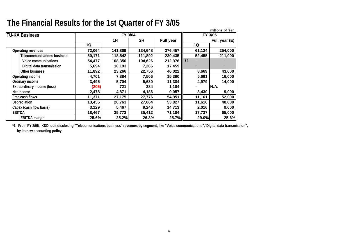| The Financial Results for the 1st Quarter of FY 3/05 |  |
|------------------------------------------------------|--|
|------------------------------------------------------|--|

|                                    |        |                |         |                  |        | millions of Yen |
|------------------------------------|--------|----------------|---------|------------------|--------|-----------------|
| <b>TU-KA Business</b>              |        | <b>FY 3/04</b> |         |                  |        | FY 3/05         |
|                                    |        | 1H             | 2H      | <b>Full year</b> |        | Full year (E)   |
|                                    | 1Q     |                |         |                  | 1Q     |                 |
| <b>Operating revenues</b>          | 72,064 | 141,809        | 134,648 | 276,457          | 61,124 | 254,000         |
| <b>Telecommunications business</b> | 60,171 | 118,542        | 111,892 | 230,435          | 52,455 | 211,000         |
| <b>Voice communications</b>        | 54,477 | 108,350        | 104,626 | 212,976          | $*1$   |                 |
| Digital data transmission          | 5,694  | 10,193         | 7,266   | 17,459           |        |                 |
| Other business                     | 11,892 | 23,266         | 22,756  | 46,022           | 8,669  | 43,000          |
| Operating income                   | 4,701  | 7,884          | 7,506   | 15,390           | 5,691  | 16,000          |
| Ordinary income                    | 3,495  | 5,704          | 5,680   | 11,384           | 4,979  | 14,000          |
| <b>Extraordinary income (loss)</b> | (205)  | 721            | 384     | 1,104            |        | N.A.            |
| Net income                         | 2,478  | 4,871          | 4,186   | 9,057            | 3,430  | 9,000           |
| Free cash flows                    | 11,371 | 27,175         | 27,776  | 54,951           | 11,161 | 52,000          |
| Depreciation                       | 13,455 | 26,763         | 27,064  | 53,827           | 11,616 | 48,000          |
| Capex (cash flow basis)            | 3,129  | 5,467          | 9,246   | 14,713           | 2,016  | 9,000           |
| EBITDA                             | 18,467 | 35,772         | 35,412  | 71,184           | 17,737 | 65,000          |
| <b>EBITDA</b> margin               | 25.6%  | 25.2%          | 26.3%   | 25.7%            | 29.0%  | 25.6%           |

**\*1 From FY 3/05, KDDI quit disclosing "Telecomunications business" revenues by segment, like "Voice communications","Digital data transmission", by its new accounting policy.**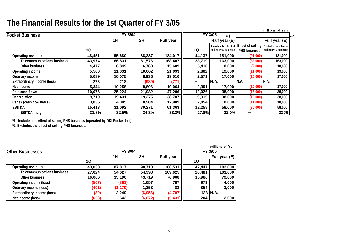|                                    |        |                |        |                  |        |                                                |              | millions of Yen                                                    |
|------------------------------------|--------|----------------|--------|------------------|--------|------------------------------------------------|--------------|--------------------------------------------------------------------|
| <b>Pocket Business</b>             |        | <b>FY 3/04</b> |        |                  |        | FY 3/05<br>*1                                  |              | $*2$                                                               |
|                                    |        | 1H             | 2H     | <b>Full year</b> |        | Half year (E)                                  |              | Full year (E)                                                      |
|                                    | 1Q     |                |        |                  | 1Q     | Includes the effect of<br>selling PHS business | PHS business | Effect of selling   Excludes the effect of<br>selling PHS business |
| <b>Operating revenues</b>          | 48,451 | 95,680         | 88,337 | 184,017          | 44,137 | 181,000                                        | (91,000)     | 181,000                                                            |
| <b>Telecommunications business</b> | 43,974 | 86,831         | 81,576 | 168,407          | 38,719 | 163,000                                        | (82,000)     | 163,000                                                            |
| Other business                     | 4,477  | 8,849          | 6,760  | 15,609           | 5,418  | 18,000                                         | (9,000)      | 18,000                                                             |
| <b>Operating income</b>            | 5,500  | 11,031         | 10,062 | 21,093           | 2,802  | 19,000                                         | (11,000)     | 19,000                                                             |
| Ordinary income                    | 5,089  | 10,075         | 8,936  | 19,010           | 2,571  | 17,000                                         | (10,000)     | 17,000                                                             |
| <b>Extraordinary income (loss)</b> | 273    | 218            | (989)  | (771)            |        | N.A.                                           | N.A.         | N.A.                                                               |
| Net income                         | 5,344  | 10,258         | 8,806  | 19,064           | 2,301  | 17,000                                         | (10,000)     | 17,000                                                             |
| Free cash flows                    | 10,076 | 25,224         | 21,982 | 47,206           | 12,026 | 38,000                                         | (16,000)     | 38,000                                                             |
| Depreciation                       | 9,719  | 19,431         | 19,275 | 38,707           | 9,315  | 38,000                                         | (19,000)     | 38,000                                                             |
| Capex (cash flow basis)            | 3,035  | 4,005          | 8,904  | 12,909           | 2,854  | 18,000                                         | (11,000)     | 18,000                                                             |
| <b>EBITDA</b>                      | 15,413 | 31,092         | 30,271 | 61,363           | 12,258 | 58,000                                         | (30,000)     | 58,000                                                             |
| <b>EBITDA</b> margin               | 31.8%  | 32.5%          | 34.3%  | 33.3%            | 27.8%  | 32.0%                                          |              | 32.0%                                                              |

**\*1 Includes the effect of selling PHS business (operated by DDI Pocket Inc.).**

**\*2 Excludes the effect of selling PHS business.**

|                                    |        |          |         |           |        | millions of Yen |
|------------------------------------|--------|----------|---------|-----------|--------|-----------------|
| <b>Other Businesses</b>            |        | FY 3/04  | FY 3/05 |           |        |                 |
|                                    |        | 1Η       | 2H      | Full year |        | Full year (E)   |
|                                    | 1Q     |          |         |           | 1Q     |                 |
| <b>Operating revenues</b>          | 43,030 | 87,817   | 98,718  | 186,533   | 42,447 | 182,000         |
| <b>Telecommunications business</b> | 27,024 | 54,627   | 54,998  | 109,625   | 26,481 | 103,000         |
| Other business                     | 16,006 | 33,190   | 43,719  | 76,908    | 15,966 | 79,000          |
| Operating income (loss)            | (507)  | (861)    | 1,657   | 797       | 979    | 4,000           |
| Ordinary income (loss)             | (401)  | (1, 170) | 1,253   | 83        | 854    | 3,000           |
| <b>Extraordinary income (loss)</b> | (30)   | 2,249    | (6,956) | (4,707)   |        | 128   N.A.      |
| Net income (loss)                  | (653)  | 642      | (6,072) | (5, 431)  | 204    | 2,000           |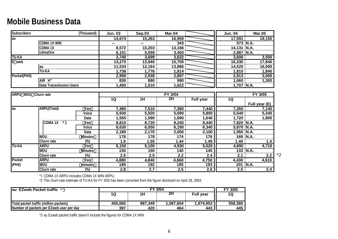## **Mobile Business Data**

| <b>Subscribers</b>         |                                | (Thousand)                    | <b>Jun. 03</b>   | <b>Sep.03</b> | <b>Mar.04</b>    |                  | <b>Jun. 04</b> | <b>Mar.05</b> |
|----------------------------|--------------------------------|-------------------------------|------------------|---------------|------------------|------------------|----------------|---------------|
| lau                        |                                |                               | 14,674           | 15,263        | 16,959           |                  | 17,591         | 19,150        |
|                            | <b>CDMA 1X WIN</b>             |                               |                  |               | 343              |                  |                | 573 N.A.      |
|                            | <b>CDMA1X</b>                  |                               | 8,572            | 10,203        | 13,166           |                  | 14,131         | N.A.          |
|                            | cdmaOne                        |                               | 6,101            | 5,059         | 3,450            |                  | 2,887          | N.A.          |
| <b>TU-KA</b>               |                                |                               | 3,740            | 3,699         | 3,632            |                  | 3,606          | 3,550         |
| E web                      |                                |                               | 13,270           | 13,940        | 15,700           |                  | 16,330         | 17,840        |
|                            | lau                            |                               | 11,534           | 12,164        | 13,886           |                  | 14,520         | 16,000        |
|                            | <b>TU-KA</b>                   |                               | 1,736            | 1,776         | 1,814            |                  | 1,810          | 1,840         |
| Pocket(PHS)                |                                |                               | 2,959            | 2,938         | 2,897            |                  | 2,913          | 3,000         |
|                            | AIR H"                         |                               | 830              | 890           | 990              |                  | 1,060          | 1,300         |
|                            | <b>Data Transmission Users</b> |                               | 1,450            | 1,510         | 1,622            |                  | 1,707 N.A.     |               |
|                            |                                |                               |                  |               |                  |                  |                |               |
| <b>ARPU MOU Churn rate</b> |                                |                               |                  |               | FY 3/04          |                  |                | FY 3/05       |
|                            |                                |                               | 1Q               | 1H            | 2H               | <b>Full year</b> | 1Q             |               |
|                            |                                |                               |                  |               |                  |                  |                | Full year (E) |
| lau                        | <b>ARPU(Total)</b>             | Yen                           | 7,480            | 7,510         | 7,380            | 7,440            | 7,260          | 7,140         |
|                            |                                | Voice                         | 5,930            | 5,920         | 5,690            | 5,800            | 5,540          | 5,340         |
|                            |                                | Data                          | 1,550            | 1,590         | 1,690            | 1,640            | 1,720          | 1,800         |
|                            | <b>CDMA1X</b><br>$*1$          | Yen                           | 8,810            | 8,720         | 8,240            | 8,440            | 7,820 N.A.     |               |
|                            |                                | Voice                         | 6,630            | 6,550         | 6,190            | 6,340            | 5,870 N.A.     |               |
|                            |                                | Data                          | 2,180            | 2,170         | 2,050            | 2,100            | $1,950$ N.A.   |               |
|                            | <b>MOU</b>                     | <b>Minutes</b>                | $\overline{178}$ | 178           | 174              | 176              | 169            | N.A.          |
|                            | Churn rate                     | $(\%)$                        | 1.6              | 1.55          | 1.44             | 1.49             | 1.40           | 1.4           |
| <b>TU-KA</b>               | <b>ARPU</b>                    | Yen                           | 5,150            | 5,100         | 4,930            | 5,020            | 4,690          | 4,710         |
|                            | <b>MOU</b>                     | <b>Minutes</b>                | 150              | 150           | 140              | 145              |                | 133 N.A.      |
|                            | Churn rate                     | $\overline{(\%)}$             | 2.5              | 2.5           | $\overline{2.2}$ | 2.4              | 2.1            | 2.2           |
| Pocket                     | <b>ARPU</b>                    | Yen                           | 4,880            | 4,840         | 4,660            | 4,750            | 4,430          | 4,610         |
| (PHS)                      | <b>NON</b>                     | minutes                       | 189              | 192           | 195              | 193              |                | 201 N.A.      |
|                            | Churn rate                     | $\overline{\left(\% \right)}$ | 2.8              | 2.7           | 2.5              | 2.6              | 2.5            | 2.4           |

\*1 CDMA 1X ARPU includes CDMA 1X WIN ARPU.

\*2 The churn rate estimate of TU-KA for FY 3/05 has been corrected from the figure disclosed on April 28, 2004.

| au EZweb Packet traffic *3               |         | FY 3/04 |           |                  |         |  |  |  |  |  |
|------------------------------------------|---------|---------|-----------|------------------|---------|--|--|--|--|--|
|                                          | 1Q      | 1Η      | 2Н        | <b>Full year</b> | 1Q      |  |  |  |  |  |
|                                          |         |         |           |                  |         |  |  |  |  |  |
| Total packet traffic (million packets)   | 405,065 | 887,349 | 1,087,604 | 1,974,953        | 558,380 |  |  |  |  |  |
| Number of packets per EZweb user per day | 397     | 420     | 464       | 443              | 445     |  |  |  |  |  |

\*3 au Ezweb packet traffic doesn't include the figures for CDMA 1X WIN.

\*2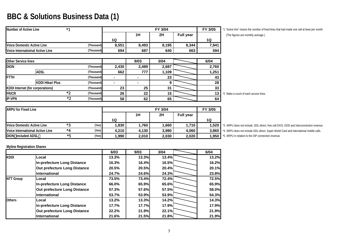# **BBC & Solutions Business Data (1)**

| Number of Active Line            | $*1$       |       |       | FY 3/04 |                  | FY 3/05 |
|----------------------------------|------------|-------|-------|---------|------------------|---------|
|                                  |            |       | 1H    | 2H      | <b>Full year</b> |         |
|                                  |            | 1Q    |       |         |                  | 1Q      |
| Voice Domestic Active Line       | (Thousand) | 8,551 | 8,493 | 8,195   | 8,344            | 7,941   |
| Voice Internatioinal Active Line | (Thousand) | 694   | 687   | 640     | 663              | 594     |

**FY 3/04 FY 3/05** \*1 "Active line" means the number of fixed lines that had made one call at least per month

**(The figures are monthly average.)** 

| <b>Other Service lines</b> |                                  |    |            |       | 9/03  | 3/04  | 6/04  |           |
|----------------------------|----------------------------------|----|------------|-------|-------|-------|-------|-----------|
| <b>DION</b>                |                                  |    | (Thousand) | 2,430 | 2,489 | 2,687 | 2,760 |           |
|                            | <b>ADSL</b>                      |    | (Thousand) | 662   | 777   | 1,109 | 1,251 |           |
| <b>FTTH</b>                |                                  |    | (Thousand) | -     |       | 23    | 43    |           |
|                            | <b>KDDI Hikari Plus</b>          |    | (Thousand) | -     |       |       | 28    |           |
|                            | KDDI Internet (for corporations) |    | (Thousand) | 23    | 25    | 31    | 33    |           |
| <b>FR/CR</b>               |                                  | *つ | (Thousand) | 26    | 22    | 15    | 13    | *2 Make a |
| <b>IP-VPN</b>              |                                  | *2 | (Thousand) | 58    | 62    | 65    | 64    |           |

**(Thousand) 26 22 15 13** \*2 Make a count of each access lines.

| <b>ARPU for Fixed Line</b>       |     |       |       | FY 3/05 |       |                  |       |
|----------------------------------|-----|-------|-------|---------|-------|------------------|-------|
|                                  |     |       |       | 1H      | 2H    | <b>Full year</b> |       |
|                                  |     |       | 1Q    |         |       |                  | 1Q    |
| Voice Domestic Active Line       | $*$ | (Yen) | 1,830 | 1.760   | 1,660 | 1.710            | 1,520 |
| Voice Internatioinal Active Line | *4  | (Yen) | 4.210 | 4,130   | 3.980 | 4.060            | 3,860 |
| DION included ADSL               | *5  | (Yen) | 1,990 | 2,010   | 2,030 | 2,020            | 1,950 |

 **(Yen) 1,830 1,760 1,660 1,710 1,520** \*3 ARPU does not include, DDL-direct, free call DX/S, DOD and interconnection revenue. **(Yen) 4,210 4,130 3,980 4,060 3,860** \*4 ARPU does not include DDL-direct, Super World Card and international mobile calls. **(Yen) 1,990 2,010 2,030 2,020 1,950** \*5 ARPU in relation to the ISP connection revenue.

#### **Myline Registration Shares**

|                  |                              | 6/03  | 9/03         | 3/04  | 6/04  |
|------------------|------------------------------|-------|--------------|-------|-------|
| <b>KDDI</b>      | Local                        | 13.3% | 13.3%        | 13.4% | 13.2% |
|                  | In-prefecture Long Distance  | 16.3% | 16.4%        | 16.5% | 16.2% |
|                  | Out prefecture Long Distance | 20.5% | <b>20.5%</b> | 20.4% | 20.1% |
|                  | <b>International</b>         | 24.7% | <b>24.6%</b> | 24.3% | 23.8% |
| <b>NTT Group</b> | lLocal                       | 73.5% | <b>73.4%</b> | 72.4% | 72.5% |
|                  | In-prefecture Long Distance  | 66.0% | 65.9%        | 65.6% | 65.9% |
|                  | Out prefecture Long Distance | 57.3% | 57.6%        | 57.5% | 58.0% |
|                  | <b>International</b>         | 53.7% | 53.9%l       | 53.9% | 54.3% |
| <b>Others</b>    | Local                        | 13.2% | 13.3%        | 14.2% | 14.3% |
|                  | In-prefecture Long Distance  | 17.7% | 17.7%        | 17.9% | 17.9% |
|                  | Out prefecture Long Distance | 22.2% | <b>21.9%</b> | 22.1% | 21.9% |
|                  | International                | 21.6% | 21.5%        | 21.8% | 21.9% |